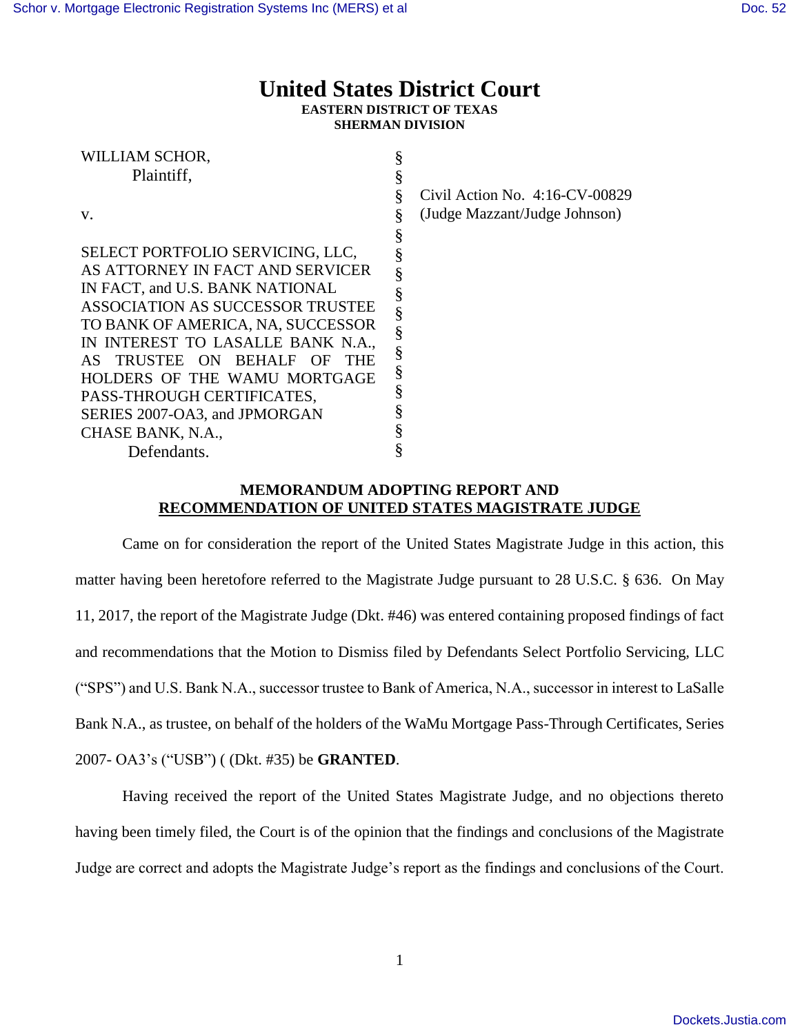william School and Contractor

## **United States District Court EASTERN DISTRICT OF TEXAS SHERMAN DIVISION**

| WILLIAM SCHOR,                             |   |                                   |
|--------------------------------------------|---|-----------------------------------|
| Plaintiff,                                 |   |                                   |
|                                            |   | Civil Action No. $4:16$ -CV-00829 |
| V.                                         |   | (Judge Mazzant/Judge Johnson)     |
|                                            | § |                                   |
| SELECT PORTFOLIO SERVICING, LLC,           |   |                                   |
| AS ATTORNEY IN FACT AND SERVICER           | Ş |                                   |
| IN FACT, and U.S. BANK NATIONAL            | § |                                   |
| ASSOCIATION AS SUCCESSOR TRUSTEE           | § |                                   |
| TO BANK OF AMERICA, NA, SUCCESSOR          | ş |                                   |
| IN INTEREST TO LASALLE BANK N.A.,          | § |                                   |
| AS TRUSTEE ON BEHALF<br>– OF<br><b>THE</b> |   |                                   |
| HOLDERS OF THE WAMU MORTGAGE               | § |                                   |
| PASS-THROUGH CERTIFICATES,                 | ş |                                   |
| SERIES 2007-OA3, and JPMORGAN              |   |                                   |
| CHASE BANK, N.A.,                          |   |                                   |
| Defendants.                                |   |                                   |

## **MEMORANDUM ADOPTING REPORT AND RECOMMENDATION OF UNITED STATES MAGISTRATE JUDGE**

Came on for consideration the report of the United States Magistrate Judge in this action, this matter having been heretofore referred to the Magistrate Judge pursuant to 28 U.S.C. § 636. On May 11, 2017, the report of the Magistrate Judge (Dkt. #46) was entered containing proposed findings of fact and recommendations that the Motion to Dismiss filed by Defendants Select Portfolio Servicing, LLC ("SPS") and U.S. Bank N.A., successor trustee to Bank of America, N.A., successor in interest to LaSalle Bank N.A., as trustee, on behalf of the holders of the WaMu Mortgage Pass-Through Certificates, Series 2007- OA3's ("USB") ( (Dkt. #35) be **GRANTED**.

Having received the report of the United States Magistrate Judge, and no objections thereto having been timely filed, the Court is of the opinion that the findings and conclusions of the Magistrate Judge are correct and adopts the Magistrate Judge's report as the findings and conclusions of the Court.